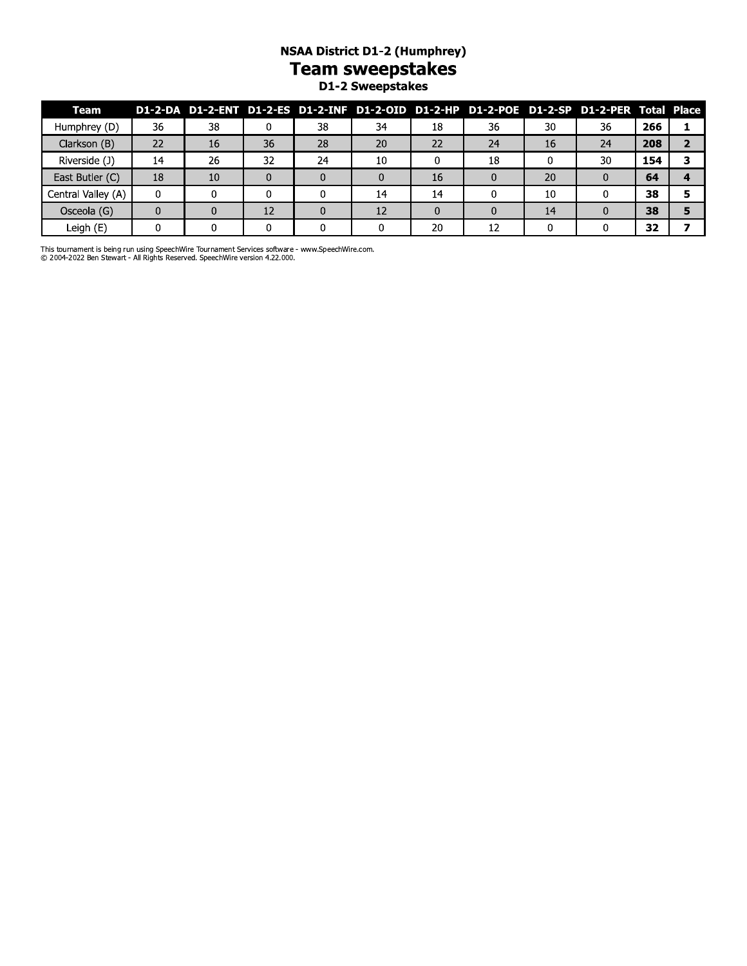#### **NSAA District D1-2 (Humphrey) Team sweepstakes** D1-2 Sweepstakes

| Team               |    |    |    |    |    |    | D1-2-DA D1-2-ENT D1-2-ES D1-2-INF D1-2-OID D1-2-HP D1-2-POE D1-2-SP D1-2-PER Total Place |    |    |     |  |
|--------------------|----|----|----|----|----|----|------------------------------------------------------------------------------------------|----|----|-----|--|
| Humphrey (D)       | 36 | 38 |    | 38 | 34 | 18 | 36                                                                                       | 30 | 36 | 266 |  |
| Clarkson (B)       | 22 | 16 | 36 | 28 | 20 | 22 | 24                                                                                       | 16 | 24 | 208 |  |
| Riverside (J)      | 14 | 26 | 32 | 24 | 10 |    | 18                                                                                       |    | 30 | 154 |  |
| East Butler (C)    | 18 | 10 |    |    |    | 16 |                                                                                          | 20 |    | 64  |  |
| Central Valley (A) | 0  |    |    |    | 14 | 14 |                                                                                          | 10 |    | 38  |  |
| Osceola (G)        |    |    | 12 |    | 12 |    |                                                                                          | 14 |    | 38  |  |
| Leigh (E)          |    |    |    |    |    | 20 | 12                                                                                       |    |    | 32  |  |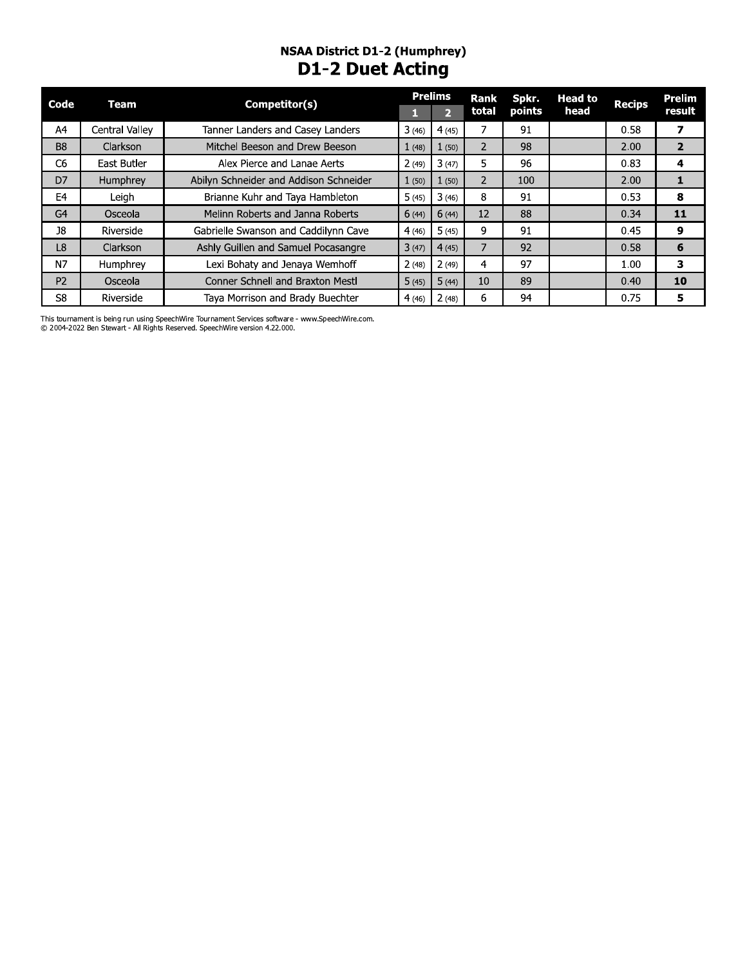#### **NSAA District D1-2 (Humphrey) D1-2 Duet Acting**

| Code           | Team           | Competitor(s)                          |       | <b>Prelims</b> | Rank           | Spkr.         | <b>Head to</b> | <b>Recips</b> | Prelim                  |
|----------------|----------------|----------------------------------------|-------|----------------|----------------|---------------|----------------|---------------|-------------------------|
|                |                |                                        |       | $\mathcal{D}$  | total          | <b>points</b> | head           |               | result                  |
| A4             | Central Valley | Tanner Landers and Casey Landers       | 3(46) | 4(45)          |                | 91            |                | 0.58          | $\overline{\mathbf{z}}$ |
| B <sub>8</sub> | Clarkson       | Mitchel Beeson and Drew Beeson         | 1(48) | 1(50)          | $\overline{2}$ | 98            |                | 2.00          | $\overline{2}$          |
| C <sub>6</sub> | East Butler    | Alex Pierce and Lanae Aerts            | 2(49) | 3(47)          | 5.             | 96            |                | 0.83          | 4                       |
| D7             | Humphrey       | Abilyn Schneider and Addison Schneider | 1(50) | 1(50)          | $\overline{2}$ | 100           |                | 2.00          | 1                       |
| E <sub>4</sub> | Leigh          | Brianne Kuhr and Taya Hambleton        | 5(45) | 3(46)          | 8              | 91            |                | 0.53          | 8                       |
| G <sub>4</sub> | Osceola        | Melinn Roberts and Janna Roberts       | 6(44) | 6(44)          | 12             | 88            |                | 0.34          | 11                      |
| 38             | Riverside      | Gabrielle Swanson and Caddilynn Cave   | 4(46) | 5(45)          | 9              | 91            |                | 0.45          | 9                       |
| L <sub>8</sub> | Clarkson       | Ashly Guillen and Samuel Pocasangre    | 3(47) | 4(45)          | 7              | 92            |                | 0.58          | 6                       |
| N7             | Humphrey       | Lexi Bohaty and Jenaya Wemhoff         | 2(48) | 2(49)          | 4              | 97            |                | 1.00          | 3                       |
| P <sub>2</sub> | Osceola        | Conner Schnell and Braxton Mestl       | 5(45) | 5(44)          | 10             | 89            |                | 0.40          | 10                      |
| S <sub>8</sub> | Riverside      | Taya Morrison and Brady Buechter       | 4(46) | 2(48)          | 6              | 94            |                | 0.75          | 5                       |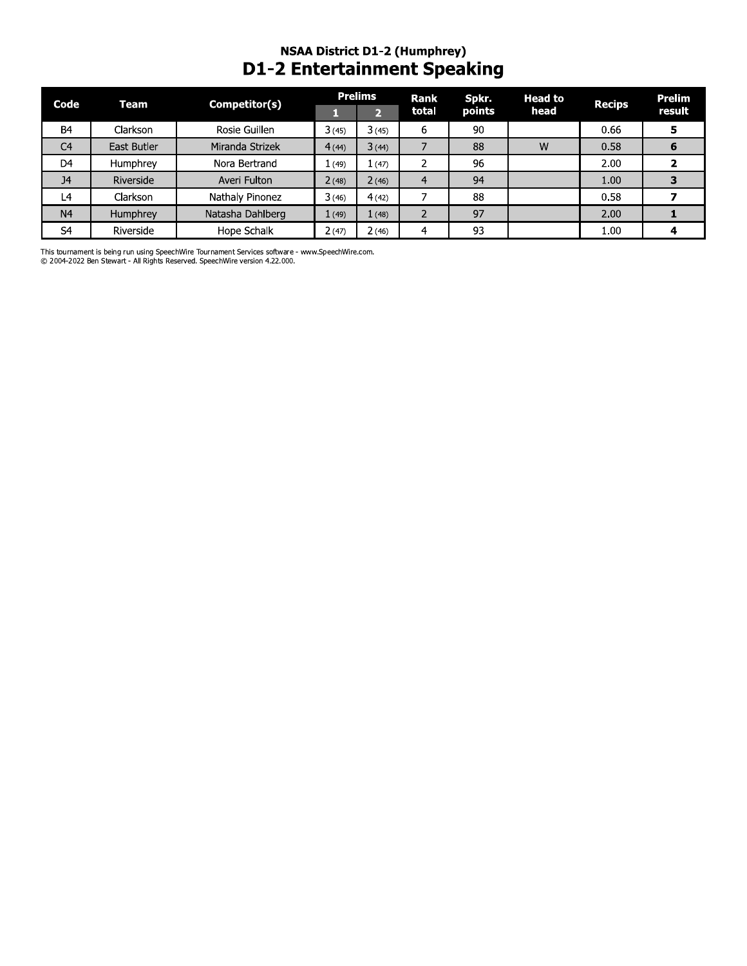#### NSAA DISTrict D1-2 (Humphrey) D1-2 Entertainment Speaking

| Code           | <b>Team</b> | Competitor(s)    |            | <b>Prelims</b>          | Rank<br>total  | Spkr.<br>points | <b>Head to</b><br>head | <b>Recips</b> | <b>Prelim</b><br>result |
|----------------|-------------|------------------|------------|-------------------------|----------------|-----------------|------------------------|---------------|-------------------------|
| <b>B4</b>      | Clarkson    | Rosie Guillen    | П<br>3(45) | $\overline{2}$<br>3(45) | 6              | 90              |                        | 0.66          | 5                       |
| C <sub>4</sub> | East Butler | Miranda Strizek  | 4(44)      | 3(44)                   | $\overline{7}$ | 88              | W                      | 0.58          | 6                       |
| D <sub>4</sub> | Humphrey    | Nora Bertrand    | 1(49)      | 1(47)                   | 2              | 96              |                        | 2.00          | $\overline{\mathbf{z}}$ |
| J <sub>4</sub> | Riverside   | Averi Fulton     | 2(48)      | 2(46)                   | 4              | 94              |                        | 1.00          | 3                       |
| L4             | Clarkson    | Nathaly Pinonez  | 3(46)      | 4(42)                   | 7              | 88              |                        | 0.58          | 7                       |
| N <sub>4</sub> | Humphrey    | Natasha Dahlberg | 1(49)      | 1(48)                   | $\overline{2}$ | 97              |                        | 2.00          | 1                       |
| S <sup>4</sup> | Riverside   | Hope Schalk      | 2(47)      | 2(46)                   | 4              | 93              |                        | 1.00          | 4                       |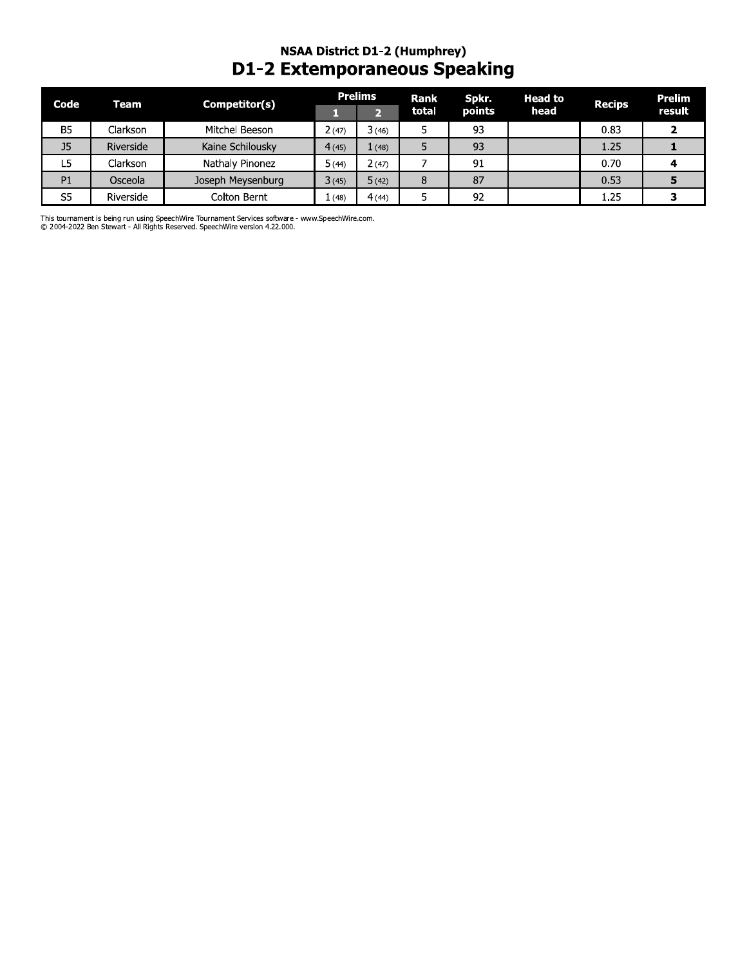#### **NSAA District D1-2 (Humphrey) D1-2 Extemporaneous Speaking**

| Code           | Team      | Competitor(s)     |        | <b>Prelims</b> | Rank  | Spkr.  | <b>Head to</b> | <b>Recips</b> | <b>Prelim</b> |
|----------------|-----------|-------------------|--------|----------------|-------|--------|----------------|---------------|---------------|
|                |           |                   |        |                | total | points | head           |               | result        |
| <b>B5</b>      | Clarkson  | Mitchel Beeson    | 2(47)  | 3(46)          |       | 93     |                | 0.83          |               |
| J <sub>5</sub> | Riverside | Kaine Schilousky  | 4(45)  | 1(48)          |       | 93     |                | 1.25          |               |
| L5             | Clarkson  | Nathaly Pinonez   | 5 (44) | 2(47)          |       | 91     |                | 0.70          |               |
| P <sub>1</sub> | Osceola   | Joseph Meysenburg | 3(45)  | 5(42)          | 8     | 87     |                | 0.53          |               |
| S <sub>5</sub> | Riverside | Colton Bernt      | 1(48)  | 4(44)          |       | 92     |                | 1.25          |               |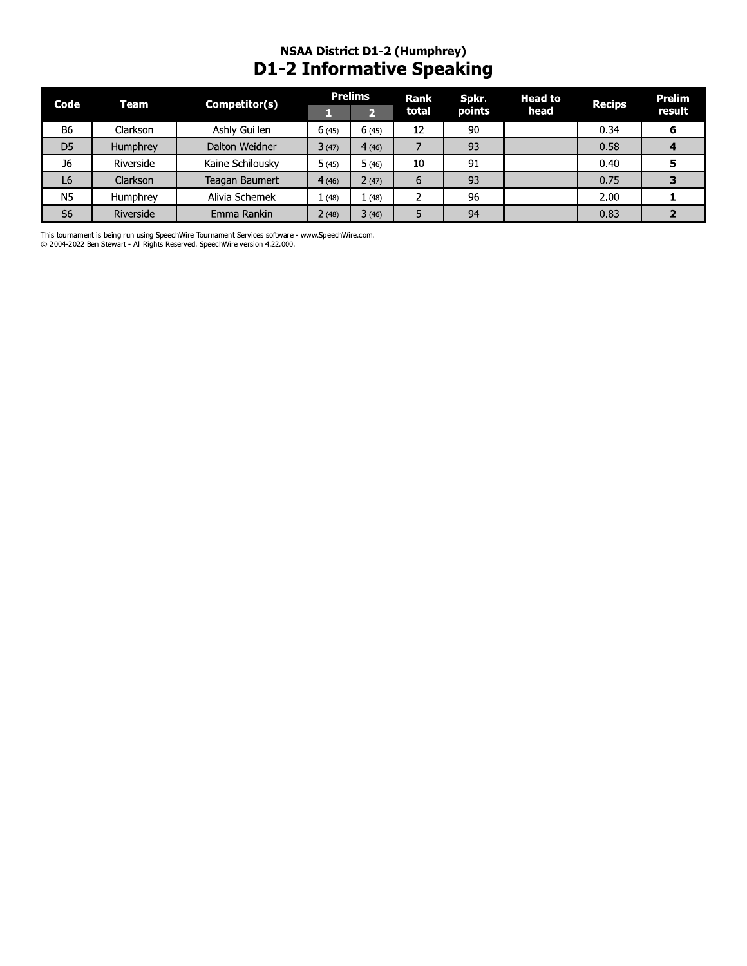# NSAA District D1-2 (Humphrey)<br>D1-2 Informative Speaking

| Code           | Team            | Competitor(s)    |       | <b>Prelims</b> | Rank  | Spkr.  | <b>Head to</b> | <b>Recips</b> | Prelim |
|----------------|-----------------|------------------|-------|----------------|-------|--------|----------------|---------------|--------|
|                |                 |                  |       |                | total | points | head           |               | result |
| <b>B6</b>      | Clarkson        | Ashly Guillen    | 6(45) | 6(45)          | 12    | 90     |                | 0.34          |        |
| D <sub>5</sub> | Humphrey        | Dalton Weidner   | 3(47) | 4(46)          |       | 93     |                | 0.58          |        |
| J6             | Riverside       | Kaine Schilousky | 5(45) | 5(46)          | 10    | 91     |                | 0.40          |        |
| L <sub>6</sub> | <b>Clarkson</b> | Teagan Baumert   | 4(46) | 2(47)          | 6     | 93     |                | 0.75          |        |
| <b>N5</b>      | Humphrey        | Alivia Schemek   | 1(48) | 1(48)          |       | 96     |                | 2.00          |        |
| S <sub>6</sub> | Riverside       | Emma Rankin      | 2(48) | 3(46)          | 5     | 94     |                | 0.83          |        |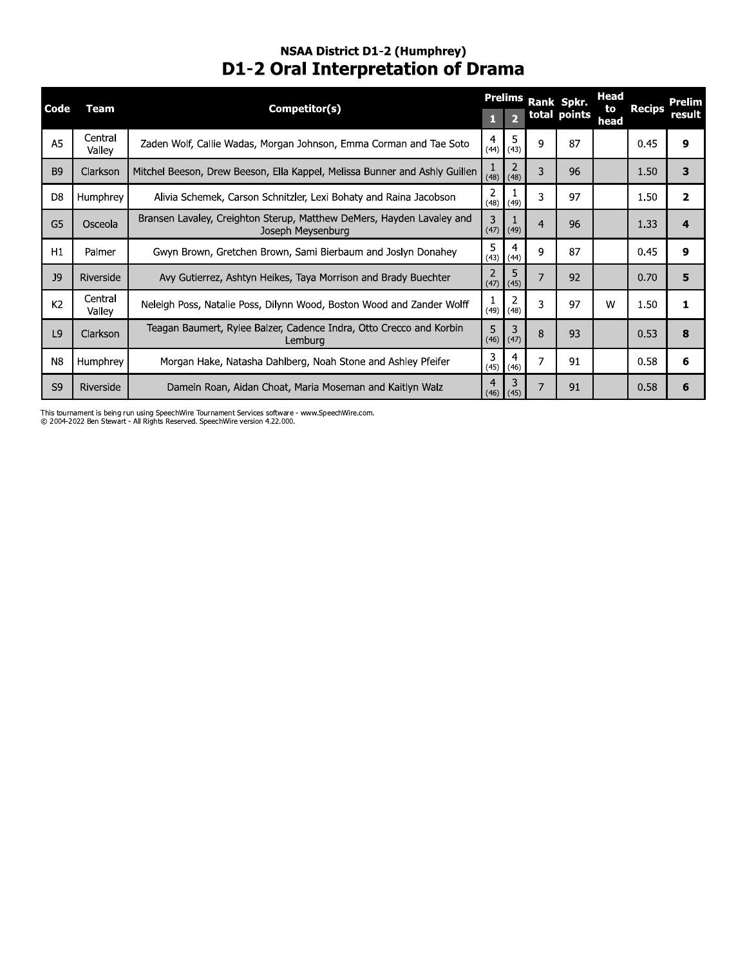#### NSAA DISTrict D1-2 (Humphrey) **D1-2 Oral Interpretation of Drama**

| Central<br>5<br>4<br>A <sub>5</sub><br>$\mathbf{Q}$<br>9<br>Zaden Wolf, Callie Wadas, Morgan Johnson, Emma Corman and Tae Soto<br>87<br>0.45<br>$(44)$ (43)<br>Valley<br>$\overline{2}$<br>1<br>3<br>Mitchel Beeson, Drew Beeson, Ella Kappel, Melissa Bunner and Ashly Guillen<br>96<br>3<br>B <sub>9</sub><br>Clarkson<br>1.50<br>$(48)$ (48)<br>2<br>3<br>97<br>$\overline{\mathbf{2}}$<br>Humphrey<br>Alivia Schemek, Carson Schnitzler, Lexi Bohaty and Raina Jacobson<br>1.50<br>D <sub>8</sub><br>(49)<br>(48)<br>Bransen Lavaley, Creighton Sterup, Matthew DeMers, Hayden Lavaley and<br>3<br>1<br>G <sub>5</sub><br>96<br>$\overline{4}$<br>1.33<br>4<br>Osceola<br>Joseph Meysenburg<br>(47)<br>(49)<br>5<br>4<br>9<br>87<br>9<br>Palmer<br>Gwyn Brown, Gretchen Brown, Sami Bierbaum and Joslyn Donahey<br>0.45<br>H1<br>(44)<br>(43)<br>5<br>2<br>7<br>92<br>5<br>Riverside<br>Avy Gutierrez, Ashtyn Heikes, Taya Morrison and Brady Buechter<br>0.70<br>J9<br>(47)<br>(45)<br>Central<br>2<br>-1<br>3<br>K <sub>2</sub><br>97<br>Neleigh Poss, Natalie Poss, Dilynn Wood, Boston Wood and Zander Wolff<br>W<br>1.50<br>1<br>(48)<br>(49)<br>Valley<br>Teagan Baumert, Rylee Balzer, Cadence Indra, Otto Crecco and Korbin<br>5<br>3<br>L <sub>9</sub><br>Clarkson<br>8<br>93<br>0.53<br>8<br>(47)<br>Lemburg<br>(46)<br>3<br>4<br>$\overline{7}$<br>91<br>6<br>Morgan Hake, Natasha Dahlberg, Noah Stone and Ashley Pfeifer<br>0.58<br>N8<br>Humphrey<br>(45)<br>(46)<br>3<br>$\overline{4}$<br>$\overline{7}$<br>S9<br>Riverside<br>Damein Roan, Aidan Choat, Maria Moseman and Kaitlyn Walz<br>91<br>0.58<br>6<br>(45)<br>(46) | Code | <b>Team</b> | Competitor(s) | п | <b>Prelims</b><br>$\overline{2}$ | Rank Spkr.<br>total points | <b>Head</b><br>to<br>head | <b>Recips</b> | <b>Prelim</b><br>result |
|------------------------------------------------------------------------------------------------------------------------------------------------------------------------------------------------------------------------------------------------------------------------------------------------------------------------------------------------------------------------------------------------------------------------------------------------------------------------------------------------------------------------------------------------------------------------------------------------------------------------------------------------------------------------------------------------------------------------------------------------------------------------------------------------------------------------------------------------------------------------------------------------------------------------------------------------------------------------------------------------------------------------------------------------------------------------------------------------------------------------------------------------------------------------------------------------------------------------------------------------------------------------------------------------------------------------------------------------------------------------------------------------------------------------------------------------------------------------------------------------------------------------------------------------------------------------------------------------------------------------------------------------|------|-------------|---------------|---|----------------------------------|----------------------------|---------------------------|---------------|-------------------------|
|                                                                                                                                                                                                                                                                                                                                                                                                                                                                                                                                                                                                                                                                                                                                                                                                                                                                                                                                                                                                                                                                                                                                                                                                                                                                                                                                                                                                                                                                                                                                                                                                                                                |      |             |               |   |                                  |                            |                           |               |                         |
|                                                                                                                                                                                                                                                                                                                                                                                                                                                                                                                                                                                                                                                                                                                                                                                                                                                                                                                                                                                                                                                                                                                                                                                                                                                                                                                                                                                                                                                                                                                                                                                                                                                |      |             |               |   |                                  |                            |                           |               |                         |
|                                                                                                                                                                                                                                                                                                                                                                                                                                                                                                                                                                                                                                                                                                                                                                                                                                                                                                                                                                                                                                                                                                                                                                                                                                                                                                                                                                                                                                                                                                                                                                                                                                                |      |             |               |   |                                  |                            |                           |               |                         |
|                                                                                                                                                                                                                                                                                                                                                                                                                                                                                                                                                                                                                                                                                                                                                                                                                                                                                                                                                                                                                                                                                                                                                                                                                                                                                                                                                                                                                                                                                                                                                                                                                                                |      |             |               |   |                                  |                            |                           |               |                         |
|                                                                                                                                                                                                                                                                                                                                                                                                                                                                                                                                                                                                                                                                                                                                                                                                                                                                                                                                                                                                                                                                                                                                                                                                                                                                                                                                                                                                                                                                                                                                                                                                                                                |      |             |               |   |                                  |                            |                           |               |                         |
|                                                                                                                                                                                                                                                                                                                                                                                                                                                                                                                                                                                                                                                                                                                                                                                                                                                                                                                                                                                                                                                                                                                                                                                                                                                                                                                                                                                                                                                                                                                                                                                                                                                |      |             |               |   |                                  |                            |                           |               |                         |
|                                                                                                                                                                                                                                                                                                                                                                                                                                                                                                                                                                                                                                                                                                                                                                                                                                                                                                                                                                                                                                                                                                                                                                                                                                                                                                                                                                                                                                                                                                                                                                                                                                                |      |             |               |   |                                  |                            |                           |               |                         |
|                                                                                                                                                                                                                                                                                                                                                                                                                                                                                                                                                                                                                                                                                                                                                                                                                                                                                                                                                                                                                                                                                                                                                                                                                                                                                                                                                                                                                                                                                                                                                                                                                                                |      |             |               |   |                                  |                            |                           |               |                         |
|                                                                                                                                                                                                                                                                                                                                                                                                                                                                                                                                                                                                                                                                                                                                                                                                                                                                                                                                                                                                                                                                                                                                                                                                                                                                                                                                                                                                                                                                                                                                                                                                                                                |      |             |               |   |                                  |                            |                           |               |                         |
|                                                                                                                                                                                                                                                                                                                                                                                                                                                                                                                                                                                                                                                                                                                                                                                                                                                                                                                                                                                                                                                                                                                                                                                                                                                                                                                                                                                                                                                                                                                                                                                                                                                |      |             |               |   |                                  |                            |                           |               |                         |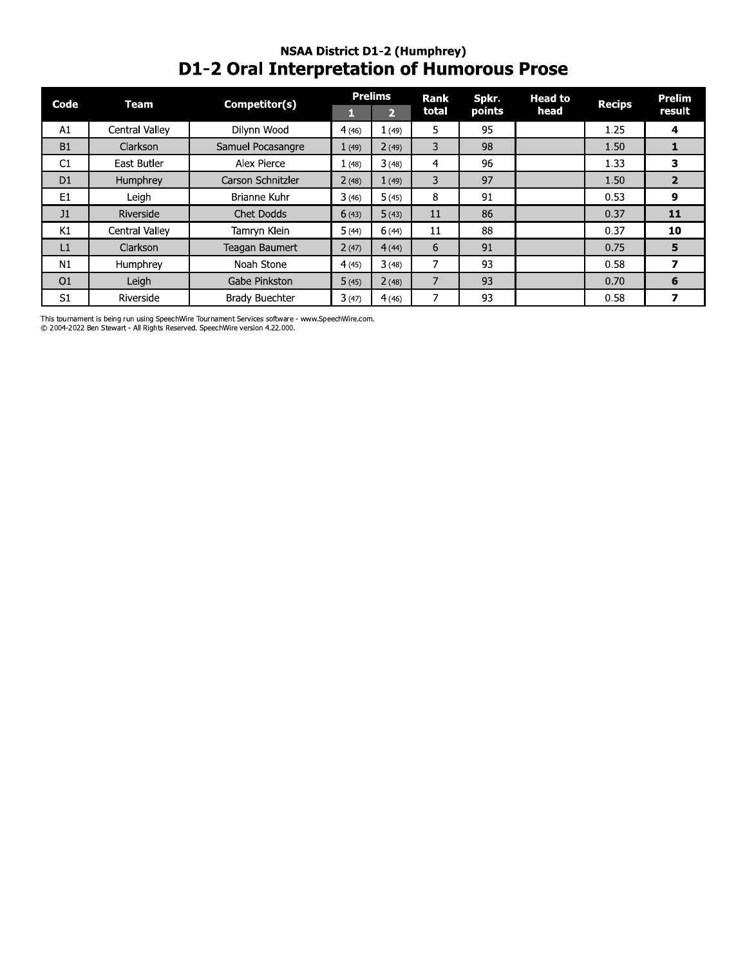#### **NSAA District D1-2 (Humphrey)** D1-2 Oral Interpretation of Humorous Prose

| Code           | Team            | Competitor(s)         |       | <b>Prelims</b> | Rank  | Spkr.  | <b>Head to</b> | <b>Recips</b> | Prelim |
|----------------|-----------------|-----------------------|-------|----------------|-------|--------|----------------|---------------|--------|
|                |                 |                       |       | 12             | total | points | head           |               | result |
| A1             | Central Valley  | Dilynn Wood           | 4(46) | 1(49)          | 5     | 95     |                | 1.25          | 4      |
| <b>B1</b>      | Clarkson        | Samuel Pocasangre     | 1(49) | 2(49)          | 3     | 98     |                | 1.50          |        |
| C1             | East Butler     | Alex Pierce           | 1(48) | 3(48)          | 4     | 96     |                | 1.33          | з      |
| D <sub>1</sub> | Humphrey        | Carson Schnitzler     | 2(48) | 1(49)          | 3     | 97     |                | 1.50          | 2      |
| E <sub>1</sub> | Leigh           | Brianne Kuhr          | 3(46) | 5(45)          | 8     | 91     |                | 0.53          | 9      |
| J1             | Riverside       | Chet Dodds            | 6(43) | 5(43)          | 11    | 86     |                | 0.37          | 11     |
| K1             | Central Valley  | Tamryn Klein          | 5(44) | 6(44)          | 11    | 88     |                | 0.37          | 10     |
| L1             | <b>Clarkson</b> | Teagan Baumert        | 2(47) | 4(44)          | 6     | 91     |                | 0.75          | 5      |
| N1             | Humphrey        | Noah Stone            | 4(45) | 3(48)          |       | 93     |                | 0.58          | 7      |
| O <sub>1</sub> | Leigh           | Gabe Pinkston         | 5(45) | 2(48)          | 7     | 93     |                | 0.70          | 6      |
| S <sub>1</sub> | Riverside       | <b>Brady Buechter</b> | 3(47) | 4(46)          |       | 93     |                | 0.58          |        |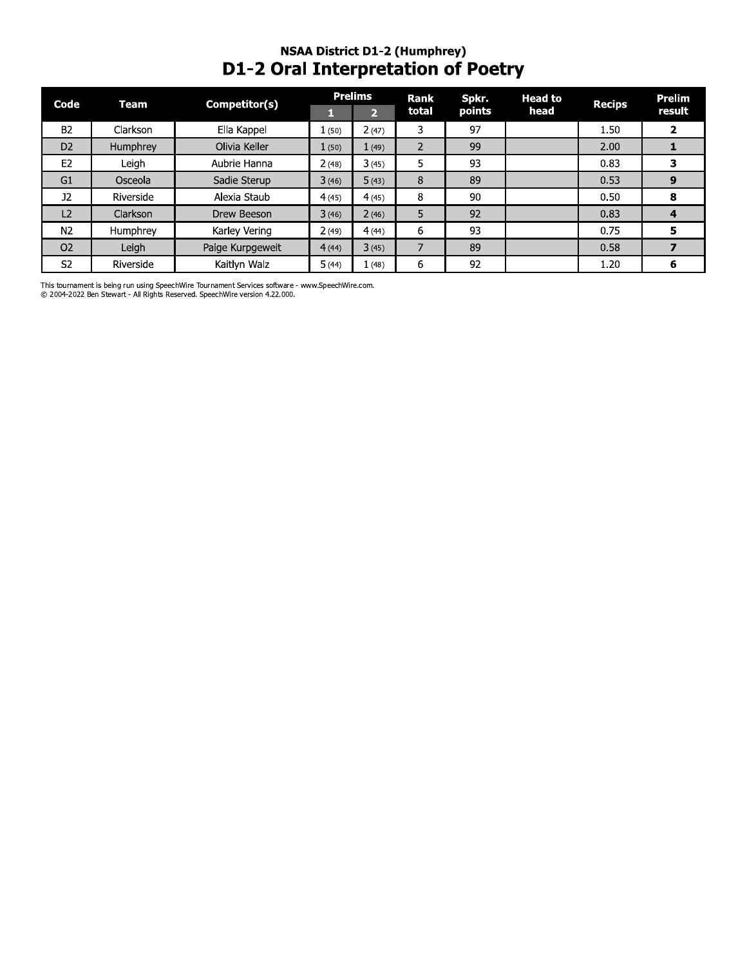# NSAA District D1-2 (Humphrey)<br>D1-2 Oral Interpretation of Poetry

| Code           | Competitor(s)<br>Team |                  |       | <b>Prelims</b> | Rank           | Spkr.  | <b>Head to</b> | <b>Recips</b> | Prelim |
|----------------|-----------------------|------------------|-------|----------------|----------------|--------|----------------|---------------|--------|
|                |                       |                  |       | $\mathbf{P}$   | total          | points | head           |               | result |
| <b>B2</b>      | Clarkson              | Ella Kappel      | 1(50) | 2(47)          | 3              | 97     |                | 1.50          |        |
| D <sub>2</sub> | Humphrey              | Olivia Keller    | 1(50) | 1(49)          | $\overline{2}$ | 99     |                | 2.00          |        |
| E <sub>2</sub> | Leigh                 | Aubrie Hanna     | 2(48) | 3(45)          | 5              | 93     |                | 0.83          |        |
| G1             | Osceola               | Sadie Sterup     | 3(46) | 5(43)          | 8              | 89     |                | 0.53          | 9      |
| <b>J2</b>      | Riverside             | Alexia Staub     | 4(45) | 4(45)          | 8              | 90     |                | 0.50          | 8      |
| L <sub>2</sub> | Clarkson              | Drew Beeson      | 3(46) | 2(46)          | 5              | 92     |                | 0.83          | 4      |
| N <sub>2</sub> | Humphrey              | Karley Vering    | 2(49) | 4(44)          | 6              | 93     |                | 0.75          | Э      |
| O <sub>2</sub> | Leigh                 | Paige Kurpgeweit | 4(44) | 3(45)          | 7              | 89     |                | 0.58          |        |
| S <sub>2</sub> | Riverside             | Kaitlyn Walz     | 5(44) | 1(48)          | 6              | 92     |                | 1.20          | 6      |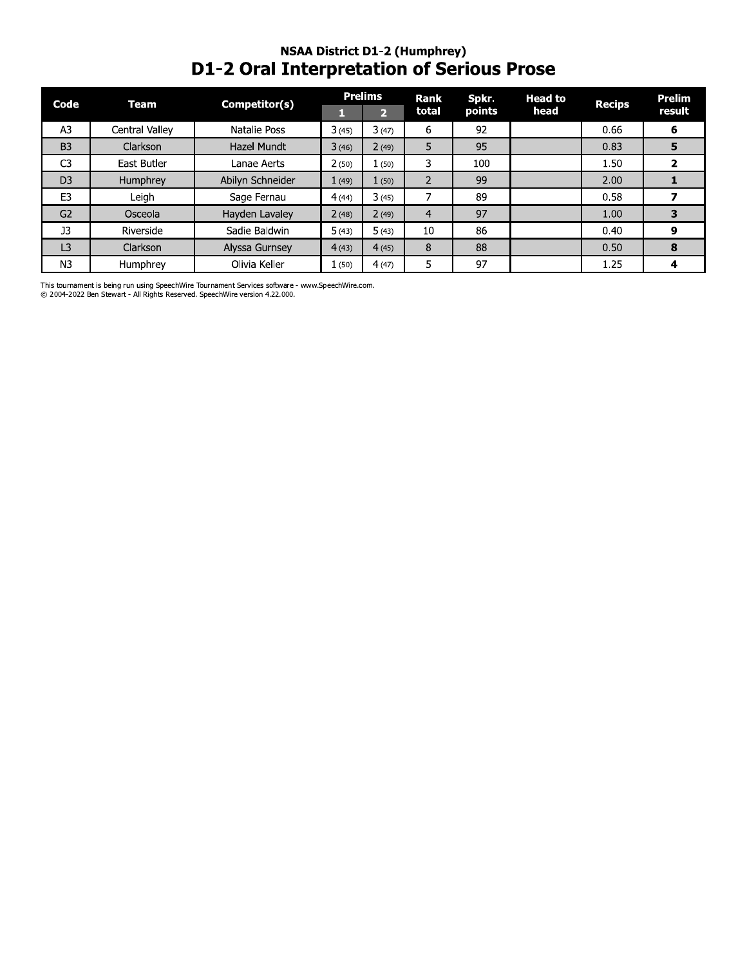## NSAA District D1-2 (Humphrey)<br>D1-2 Oral Interpretation of Serious Prose

| Code           | <b>Team</b>     | Competitor(s)    |       | <b>Prelims</b> | <b>Rank</b> | Spkr.  | <b>Head to</b> | <b>Recips</b> | <b>Prelim</b> |
|----------------|-----------------|------------------|-------|----------------|-------------|--------|----------------|---------------|---------------|
|                |                 |                  |       | $\overline{2}$ | total       | points | head           |               | result        |
| A <sub>3</sub> | Central Valley  | Natalie Poss     | 3(45) | 3(47)          | 6           | 92     |                | 0.66          | 6             |
| B <sub>3</sub> | Clarkson        | Hazel Mundt      | 3(46) | 2(49)          | 5           | 95     |                | 0.83          | 5             |
| C <sub>3</sub> | East Butler     | Lanae Aerts      | 2(50) | 1(50)          | 3           | 100    |                | 1.50          | 2             |
| D <sub>3</sub> | Humphrey        | Abilyn Schneider | 1(49) | 1(50)          |             | 99     |                | 2.00          |               |
| E <sub>3</sub> | Leigh           | Sage Fernau      | 4(44) | 3(45)          |             | 89     |                | 0.58          |               |
| G2             | Osceola         | Hayden Lavaley   | 2(48) | 2(49)          | 4           | 97     |                | 1.00          | з             |
| J <sub>3</sub> | Riverside       | Sadie Baldwin    | 5(43) | 5(43)          | 10          | 86     |                | 0.40          | 9             |
| L <sub>3</sub> | <b>Clarkson</b> | Alyssa Gurnsey   | 4(43) | 4(45)          | 8           | 88     |                | 0.50          | 8             |
| N <sub>3</sub> | Humphrey        | Olivia Keller    | 1(50) | 4(47)          | 5           | 97     |                | 1.25          | 4             |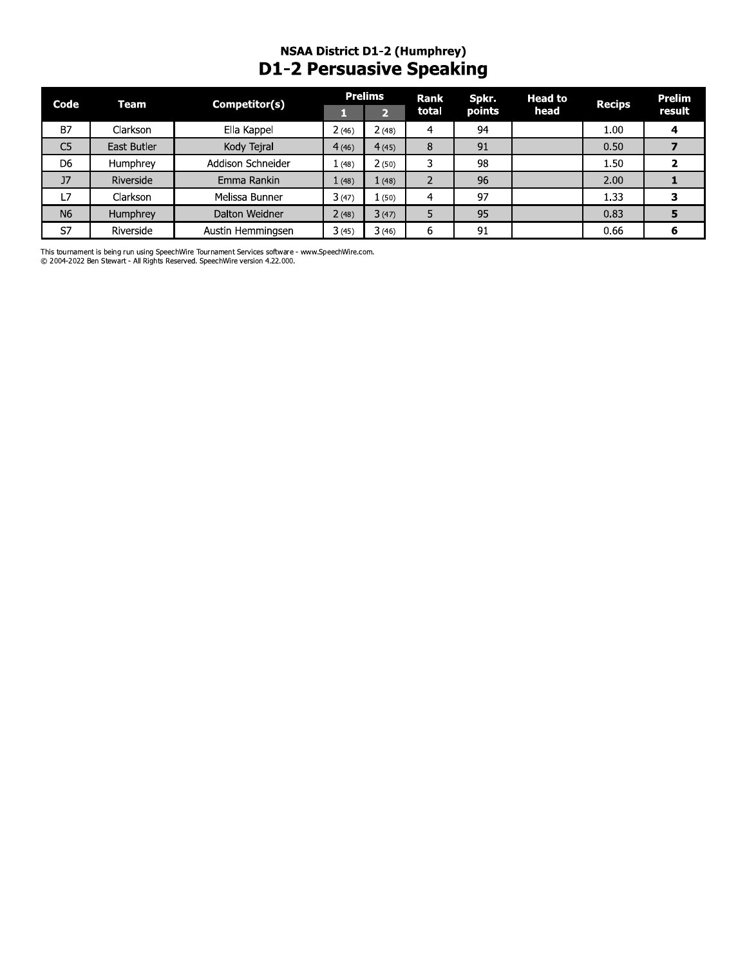#### NSAA DISTrict D1-2 (Humphrey) D1-2 Persuasive Speaking

| Code           | Team        | Competitor(s)     |       | <b>Prelims</b> | Rank  | Spkr.  | <b>Head to</b> | <b>Recips</b> | <b>Prelim</b>  |
|----------------|-------------|-------------------|-------|----------------|-------|--------|----------------|---------------|----------------|
|                |             |                   | T,    | $\overline{2}$ | total | points | head           |               | result         |
| B7             | Clarkson    | Ella Kappel       | 2(46) | 2(48)          | 4     | 94     |                | 1.00          | 4              |
| C <sub>5</sub> | East Butler | Kody Tejral       | 4(46) | 4(45)          | 8     | 91     |                | 0.50          | $\overline{z}$ |
| D <sub>6</sub> | Humphrey    | Addison Schneider | 1(48) | 2(50)          | 3     | 98     |                | 1.50          | $\overline{2}$ |
| $_{\rm J7}$    | Riverside   | Emma Rankin       | 1(48) | 1(48)          | 2     | 96     |                | 2.00          | 1              |
| L7             | Clarkson    | Melissa Bunner    | 3(47) | 1(50)          | 4     | 97     |                | 1.33          | 3              |
| N <sub>6</sub> | Humphrey    | Dalton Weidner    | 2(48) | 3(47)          | 5     | 95     |                | 0.83          | 5              |
| S7             | Riverside   | Austin Hemmingsen | 3(45) | 3(46)          | 6     | 91     |                | 0.66          | 6              |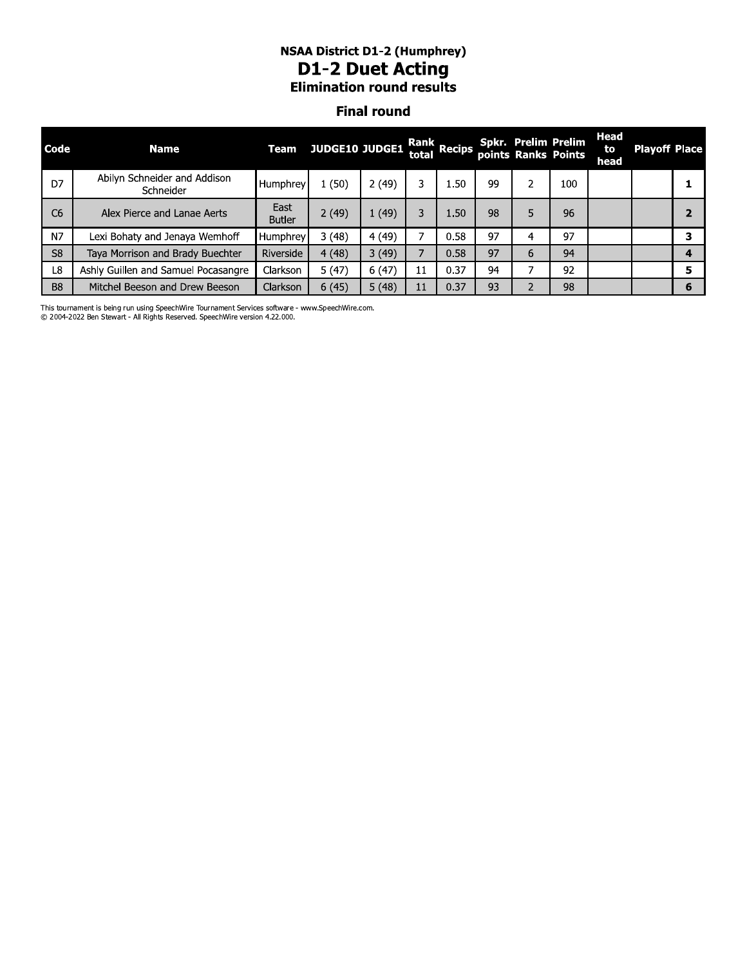#### NSAA DISTrict D1-2 (Humphrey) D1-2 Duet Acting **Elimination round results**

#### **Final round**

| <b>NSAA District D1-2 (Humphrey)</b><br><b>D1-2 Duet Acting</b><br><b>Elimination round results</b><br><b>Final round</b> |                                                                                                                                                        |                       |       |       |    |      |    |               |     |  |  |                      |
|---------------------------------------------------------------------------------------------------------------------------|--------------------------------------------------------------------------------------------------------------------------------------------------------|-----------------------|-------|-------|----|------|----|---------------|-----|--|--|----------------------|
| Code                                                                                                                      | <b>Head</b><br><b>Spkr. Prelim Prelim</b><br>Rank Recips<br>JUDGE10 JUDGE1<br><b>Team</b><br><b>Name</b><br>to<br>total<br>points Ranks Points<br>head |                       |       |       |    |      |    |               |     |  |  | <b>Playoff Place</b> |
| D7                                                                                                                        | Abilyn Schneider and Addison<br>Schneider                                                                                                              | Humphrey              | 1(50) | 2(49) | 3  | 1.50 | 99 | $\mathcal{P}$ | 100 |  |  | 1                    |
| C <sub>6</sub>                                                                                                            | Alex Pierce and Lanae Aerts                                                                                                                            | East<br><b>Butler</b> | 2(49) | 1(49) | 3  | 1.50 | 98 | 5             | 96  |  |  | $\overline{2}$       |
| N7                                                                                                                        | Lexi Bohaty and Jenaya Wemhoff                                                                                                                         | Humphrey              | 3(48) | 4(49) |    | 0.58 | 97 | 4             | 97  |  |  | 3                    |
| S <sub>8</sub><br>3(49)<br>Taya Morrison and Brady Buechter<br>4(48)<br>0.58<br>Riverside                                 |                                                                                                                                                        |                       |       |       |    |      |    | 6             | 94  |  |  | $\overline{4}$       |
| L8                                                                                                                        | Ashly Guillen and Samuel Pocasangre                                                                                                                    | Clarkson              | 5(47) | 6(47) | 11 | 0.37 | 94 | 7             | 92  |  |  | 5                    |
| B <sub>8</sub><br>5(48)<br>0.37<br>93<br>98<br>Mitchel Beeson and Drew Beeson<br>6(45)<br><b>Clarkson</b><br>11           |                                                                                                                                                        |                       |       |       |    |      |    |               |     |  |  | 6                    |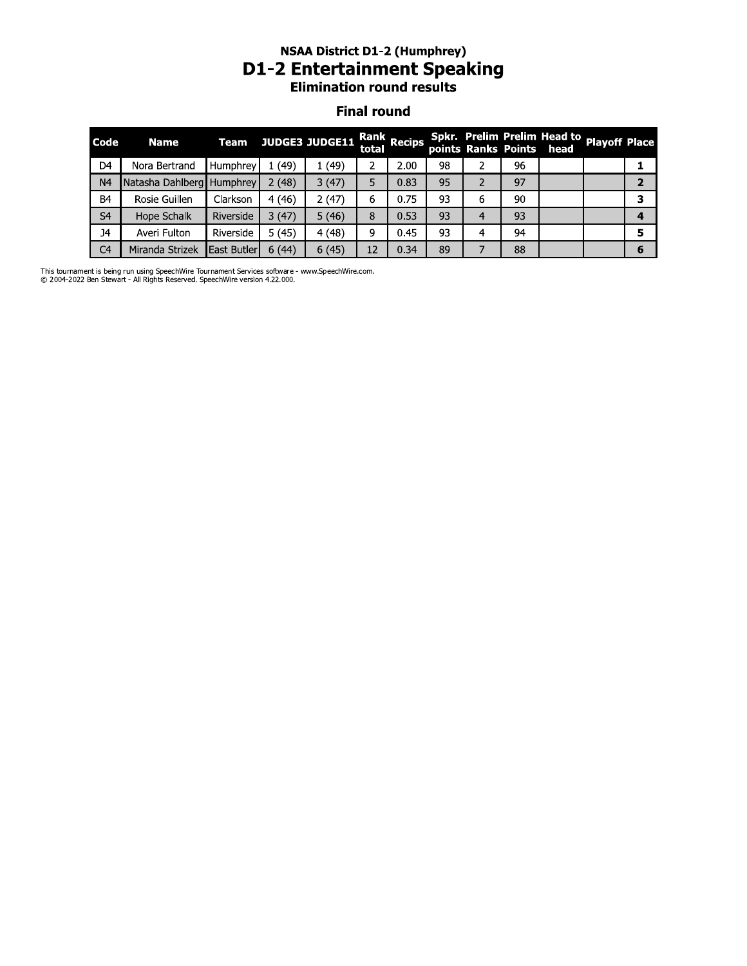#### NSAA DISTrict D1-2 (Humphrey) D1-2 Entertainment Speaking **Elimination round results**

#### **Final round**

|                | <b>NSAA District D1-2 (Humphrey)</b><br><b>D1-2 Entertainment Speaking</b><br><b>Elimination round results</b><br><b>Final round</b> |             |       |                       |       |             |    |                |    |                                                                       |  |                |  |
|----------------|--------------------------------------------------------------------------------------------------------------------------------------|-------------|-------|-----------------------|-------|-------------|----|----------------|----|-----------------------------------------------------------------------|--|----------------|--|
| Code           | <b>Name</b>                                                                                                                          | <b>Team</b> |       | <b>JUDGE3 JUDGE11</b> | total | Rank Recips |    |                |    | Spkr. Prelim Prelim Head to Playoff Place<br>points Ranks Points head |  |                |  |
| D <sub>4</sub> | Nora Bertrand                                                                                                                        | Humphrey    | 1(49) | 1(49)                 | 2     | 2.00        | 98 | 2              | 96 |                                                                       |  | 1              |  |
| N <sub>4</sub> | Natasha Dahlberg Humphrey                                                                                                            |             | 2(48) | 3(47)                 | 5     | 0.83        | 95 | $\overline{2}$ | 97 |                                                                       |  | $\overline{2}$ |  |
| B <sub>4</sub> | Rosie Guillen                                                                                                                        | Clarkson    | 4(46) | 2(47)                 | 6     | 0.75        | 93 | 6              | 90 |                                                                       |  | 3              |  |
| S <sub>4</sub> | Hope Schalk                                                                                                                          | Riverside   | 3(47) | 5(46)                 | 8     | 0.53        | 93 | 4              | 93 |                                                                       |  | 4              |  |
| <b>J4</b>      | Averi Fulton                                                                                                                         | Riverside   | 5(45) | 4(48)                 | 9     | 0.45        | 93 | 4              | 94 |                                                                       |  | 5              |  |
| C <sub>4</sub> | Miranda Strizek                                                                                                                      | East Butler | 6(44) | 6(45)                 | 12    | 0.34        | 89 | 7              | 88 |                                                                       |  | 6              |  |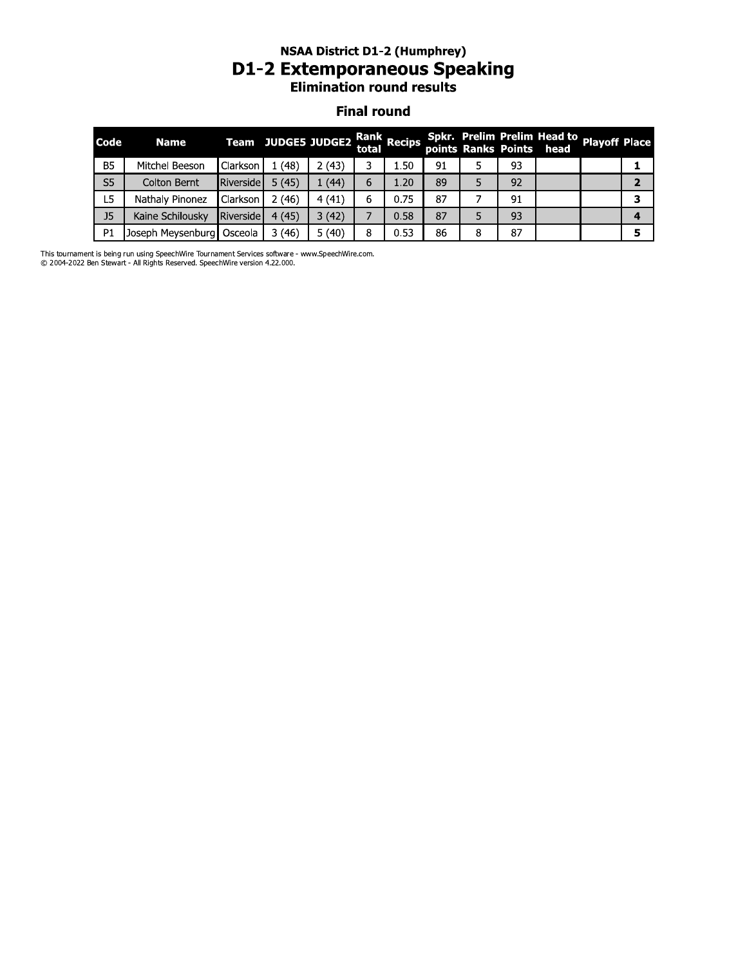#### NSAA DISTrict D1-2 (Humphrey) D1-2 Extemporaneous Speaking **Elimination round results**

#### **Final round**

|                |                                                                                   |           | <b>D1-2 Extemporaneous Speaking</b> | <b>NSAA District D1-2 (Humphrey)</b><br><b>Elimination round results</b> | <b>Final round</b> |             |    |                     |    |                                     |                      |                |
|----------------|-----------------------------------------------------------------------------------|-----------|-------------------------------------|--------------------------------------------------------------------------|--------------------|-------------|----|---------------------|----|-------------------------------------|----------------------|----------------|
| Code           | <b>Name</b>                                                                       |           | Team JUDGE5 JUDGE2                  |                                                                          | total              | Rank Recips |    | points Ranks Points |    | Spkr. Prelim Prelim Head to<br>head | <b>Playoff Place</b> |                |
| <b>B5</b>      | Mitchel Beeson                                                                    | Clarkson  | 1(48)                               | 2(43)                                                                    | 3                  | 1.50        | 91 | 5                   | 93 |                                     |                      | 1              |
| S <sub>5</sub> | Colton Bernt                                                                      | Riverside | 5(45)                               | 1(44)                                                                    | 6                  | 1.20        | 89 | 5                   | 92 |                                     |                      | $\overline{2}$ |
| L5             | Nathaly Pinonez                                                                   | Clarkson  | 2(46)                               | 4(41)                                                                    | 6                  | 0.75        | 87 |                     | 91 |                                     |                      | 3              |
| J <sub>5</sub> | Kaine Schilousky                                                                  | Riverside | 4(45)                               | 3(42)                                                                    |                    | 0.58        | 87 | 5                   | 93 |                                     |                      | 4              |
| P <sub>1</sub> | Joseph Meysenburg                                                                 | Osceola   | 3(46)                               | 5(40)                                                                    | 8                  | 0.53        | 86 | 8                   | 87 |                                     |                      | 5              |
|                | t is boing run using SpoochWire Tournament Sensices settware , www.SpoochWire.com |           |                                     |                                                                          |                    |             |    |                     |    |                                     |                      |                |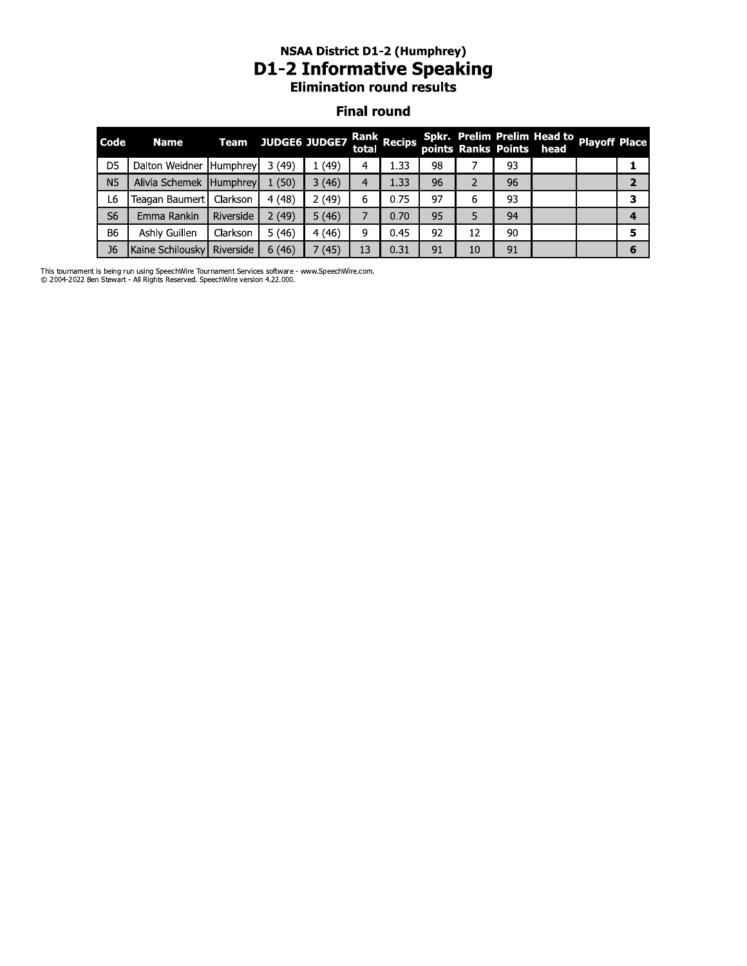# **NSAA District D1-2 (Humphrey)<br>D1-2 Informative Speaking<br>Elimination round results**

#### **Final round**

| Code           | <b>Name</b>             |           | Team JUDGE6 JUDGE7 Rank Recips |        |    |      |    |    |    | Spkr. Prelim Prelim Head to Playoff Place<br>points Ranks Points head |   |
|----------------|-------------------------|-----------|--------------------------------|--------|----|------|----|----|----|-----------------------------------------------------------------------|---|
| D <sub>5</sub> | Dalton Weidner Humphrey |           | 3(49)                          | (49)   | 4  | 1.33 | 98 |    | 93 |                                                                       |   |
| N <sub>5</sub> | Alivia Schemek Humphrey |           | 1(50)                          | 3(46)  | 4  | 1.33 | 96 |    | 96 |                                                                       |   |
| L6             | Teagan Baumert          | Clarkson  | 4(48)                          | 2 (49) | 6  | 0.75 | 97 | 6  | 93 |                                                                       |   |
| S <sub>6</sub> | Emma Rankin             | Riverside | 2(49)                          | 5(46)  |    | 0.70 | 95 |    | 94 |                                                                       |   |
| <b>B6</b>      | Ashly Guillen           | Clarkson  | 5(46)                          | 4(46)  | 9  | 0.45 | 92 | 12 | 90 |                                                                       |   |
| J <sub>6</sub> | Kaine Schilousky        | Riverside | 6(46)                          | (45)   | 13 | 0.31 | 91 | 10 | 91 |                                                                       | 6 |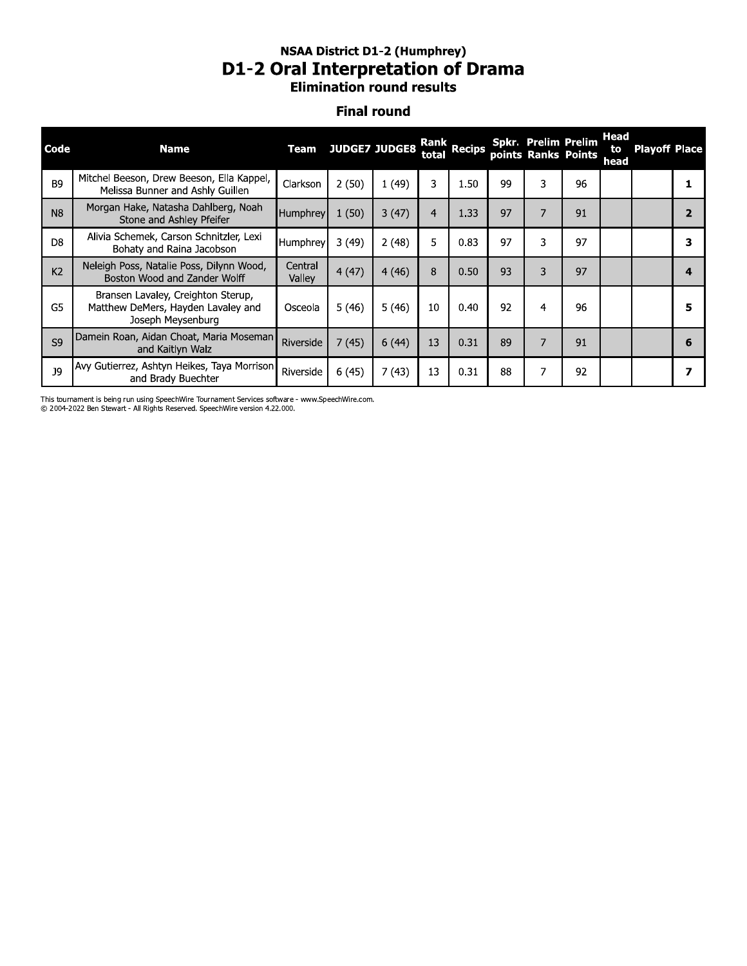### **NSAA District D1-2 (Humphrey) D1-2 Oral Interpretation of Drama**<br>Elimination round results

#### **Final round**

| Code           | <b>Name</b>                                                                                   |                   | <b>Team JUDGE7 JUDGE8</b> |       | total          | Rank Recips |    | <b>Spkr. Prelim Prelim</b><br>points Ranks Points |    | Head<br>to<br>head | <b>Playoff Place</b> |   |
|----------------|-----------------------------------------------------------------------------------------------|-------------------|---------------------------|-------|----------------|-------------|----|---------------------------------------------------|----|--------------------|----------------------|---|
| B <sub>9</sub> | Mitchel Beeson, Drew Beeson, Ella Kappel,<br>Melissa Bunner and Ashly Guillen                 | Clarkson          | 2(50)                     | 1(49) | 3              | 1.50        | 99 | 3                                                 | 96 |                    |                      |   |
| N <sub>8</sub> | Morgan Hake, Natasha Dahlberg, Noah<br>Stone and Ashley Pfeifer                               | Humphrey          | 1(50)                     | 3(47) | $\overline{4}$ | 1.33        | 97 | $\overline{7}$                                    | 91 |                    |                      |   |
| D <sub>8</sub> | Alivia Schemek, Carson Schnitzler, Lexi<br>Bohaty and Raina Jacobson                          | Humphrey          | 3(49)                     | 2(48) | 5              | 0.83        | 97 | 3                                                 | 97 |                    |                      |   |
| K <sub>2</sub> | Neleigh Poss, Natalie Poss, Dilynn Wood,<br>Boston Wood and Zander Wolff                      | Central<br>Valley | 4(47)                     | 4(46) | 8              | 0.50        | 93 | 3                                                 | 97 |                    |                      |   |
| G <sub>5</sub> | Bransen Lavaley, Creighton Sterup,<br>Matthew DeMers, Hayden Lavaley and<br>Joseph Meysenburg | Osceola           | 5(46)                     | 5(46) | 10             | 0.40        | 92 | 4                                                 | 96 |                    |                      |   |
| S <sub>9</sub> | Damein Roan, Aidan Choat, Maria Moseman<br>and Kaitlyn Walz                                   | Riverside         | 7(45)                     | 6(44) | 13             | 0.31        | 89 | 7                                                 | 91 |                    |                      | 6 |
| <b>J9</b>      | Avy Gutierrez, Ashtyn Heikes, Taya Morrison<br>and Brady Buechter                             | Riverside         | 6(45)                     | 7(43) | 13             | 0.31        | 88 | 7                                                 | 92 |                    |                      |   |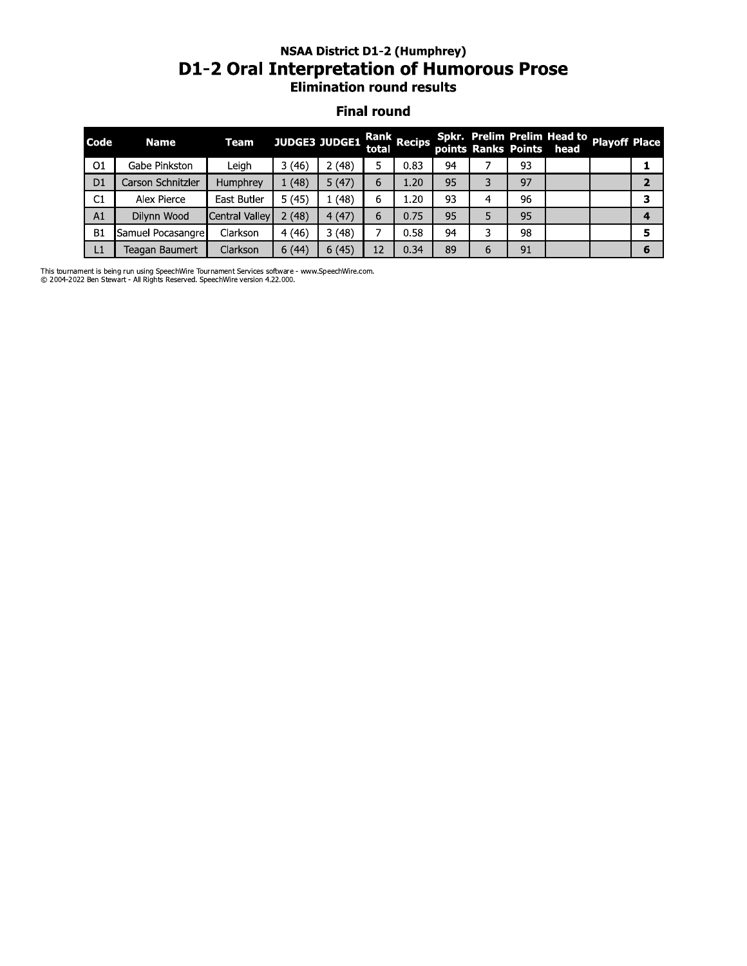## **NSAA District D1-2 (Humphrey)** D1-2 Oral Interpretation of Humorous Prose

#### **Final round**

| Code           | <b>Name</b>       | Team                  | <b>JUDGE3 JUDGE1</b> |       |    | Rank Recips |    |   |    | Spkr. Prelim Prelim Head to Playoff Place<br>points Ranks Points head |   |
|----------------|-------------------|-----------------------|----------------------|-------|----|-------------|----|---|----|-----------------------------------------------------------------------|---|
| O <sub>1</sub> | Gabe Pinkston     | Leigh                 | 3(46)                | (48)  |    | 0.83        | 94 |   | 93 |                                                                       |   |
| D <sub>1</sub> | Carson Schnitzler | Humphrey              | 1(48)                | 5(47) | 6  | 1.20        | 95 | 3 | 97 |                                                                       |   |
| C1             | Alex Pierce       | East Butler           | 5(45)                | (48)  | 6  | 1.20        | 93 | 4 | 96 |                                                                       |   |
| A1             | Dilynn Wood       | <b>Central Valley</b> | 2(48)                | 4(47) | 6  | 0.75        | 95 |   | 95 |                                                                       |   |
| <b>B1</b>      | Samuel Pocasangre | Clarkson              | 4(46)                | 3(48) |    | 0.58        | 94 | 3 | 98 |                                                                       |   |
| L1             | Teagan Baumert    | Clarkson              | 6(44)                | 6(45) | 12 | 0.34        | 89 | 6 | 91 |                                                                       | 6 |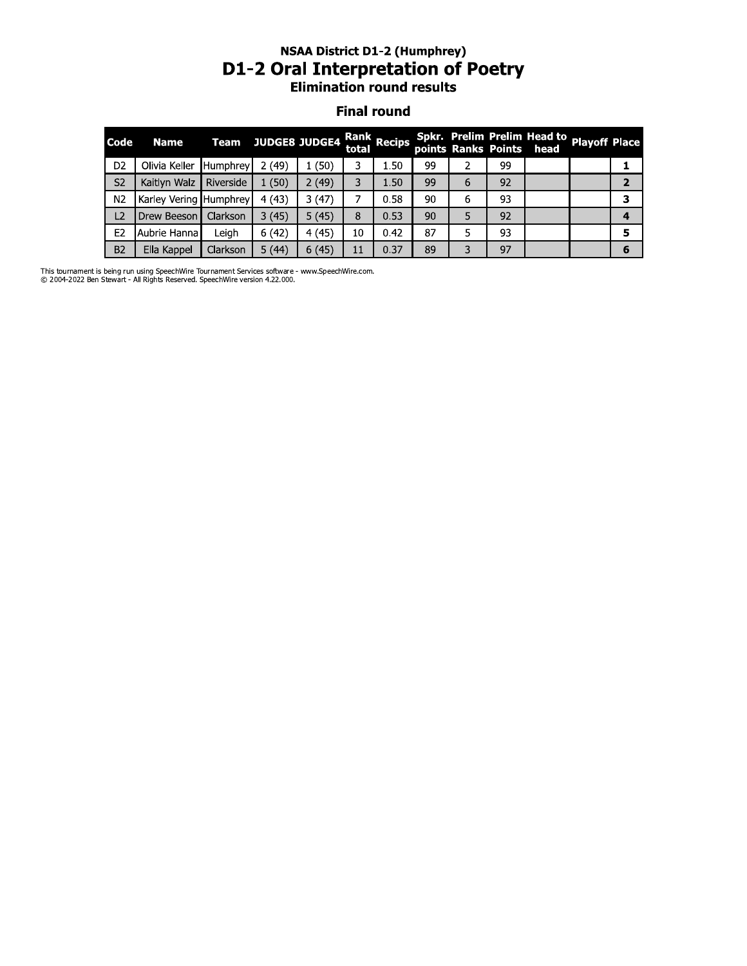#### NSAA DISTrict D1-2 (Humphrey) D1-2 Oral Interpretation of Poetry **Elimination round results**

#### **Final round**

|                |                        | <b>NSAA District D1-2 (Humphrey)</b><br><b>D1-2 Oral Interpretation of Poetry</b><br><b>Elimination round results</b><br><b>Final round</b> |       |                      |       |             |    |   |    |                                                         |                      |                |
|----------------|------------------------|---------------------------------------------------------------------------------------------------------------------------------------------|-------|----------------------|-------|-------------|----|---|----|---------------------------------------------------------|----------------------|----------------|
| Code           | <b>Name</b>            | <b>Team</b>                                                                                                                                 |       | <b>JUDGE8 JUDGE4</b> | total | Rank Recips |    |   |    | Spkr. Prelim Prelim Head to<br>points Ranks Points head | <b>Playoff Place</b> |                |
| D <sub>2</sub> | Olivia Keller          | Humphrey                                                                                                                                    | 2(49) | 1(50)                | 3     | 1.50        | 99 | 2 | 99 |                                                         |                      | 1              |
| S <sub>2</sub> | Kaitlyn Walz           | Riverside                                                                                                                                   | 1(50) | 2(49)                | 3     | 1.50        | 99 | 6 | 92 |                                                         |                      | $\overline{2}$ |
| N2             | Karley Vering Humphrey |                                                                                                                                             | 4(43) | 3(47)                | 7     | 0.58        | 90 | 6 | 93 |                                                         |                      | 3              |
| L2             | Drew Beeson            | Clarkson                                                                                                                                    | 3(45) | 5(45)                | 8     | 0.53        | 90 | 5 | 92 |                                                         |                      | 4              |
| E <sub>2</sub> | Aubrie Hanna I         | Leigh                                                                                                                                       | 6(42) | 4(45)                | 10    | 0.42        | 87 | 5 | 93 |                                                         |                      | 5              |
| <b>B2</b>      | Ella Kappel            | Clarkson                                                                                                                                    | 5(44) | 6(45)                | 11    | 0.37        | 89 | 3 | 97 |                                                         |                      | 6              |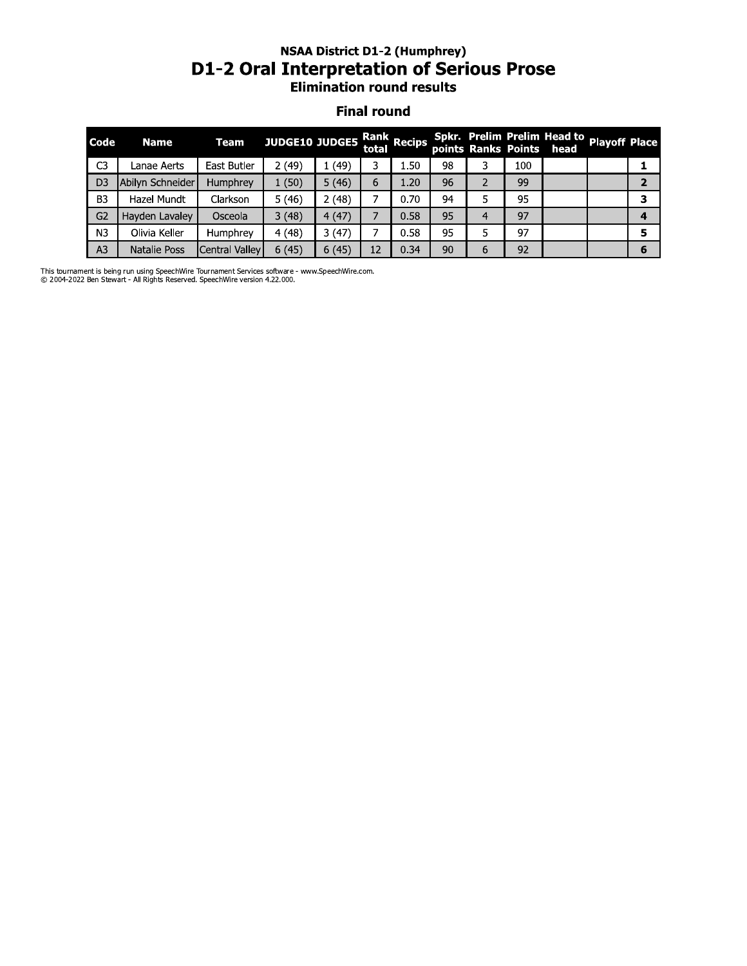#### NSAA DISTrict D1-2 (Humphrey) D1-2 Oral Interpretation or Serious Prose **Elimination round results**

#### **Final round**

|                | <b>NSAA District D1-2 (Humphrey)</b><br><b>D1-2 Oral Interpretation of Serious Prose</b><br><b>Elimination round results</b> |                |                       |       |                    |             |    |                |     |                                                         |                      |                |
|----------------|------------------------------------------------------------------------------------------------------------------------------|----------------|-----------------------|-------|--------------------|-------------|----|----------------|-----|---------------------------------------------------------|----------------------|----------------|
|                |                                                                                                                              |                |                       |       | <b>Final round</b> |             |    |                |     |                                                         |                      |                |
| Code           | <b>Name</b>                                                                                                                  | <b>Team</b>    | <b>JUDGE10 JUDGE5</b> |       | total              | Rank Recips |    |                |     | Spkr. Prelim Prelim Head to<br>points Ranks Points head | <b>Playoff Place</b> |                |
| C <sub>3</sub> | Lanae Aerts                                                                                                                  | East Butler    | 2(49)                 | 1(49) | 3                  | 1.50        | 98 | 3.             | 100 |                                                         |                      | 1              |
| D <sub>3</sub> | Abilyn Schneider                                                                                                             | Humphrey       | 1(50)                 | 5(46) | 6                  | 1.20        | 96 | $\overline{2}$ | 99  |                                                         |                      | $\overline{2}$ |
| B <sub>3</sub> | Hazel Mundt                                                                                                                  | Clarkson       | 5(46)                 | 2(48) | 7                  | 0.70        | 94 | 5.             | 95  |                                                         |                      | 3              |
| G2             | Hayden Lavaley                                                                                                               | Osceola        | 3(48)                 | 4(47) | 7                  | 0.58        | 95 | 4              | 97  |                                                         |                      | 4              |
| N3             | Olivia Keller                                                                                                                | Humphrey       | 4(48)                 | 3(47) | 7                  | 0.58        | 95 | 5              | 97  |                                                         |                      | 5              |
| A <sub>3</sub> | Natalie Poss                                                                                                                 | Central Vallev | 6(45)                 | 6(45) | 12                 | 0.34        | 90 | 6              | 92  |                                                         |                      | 6              |